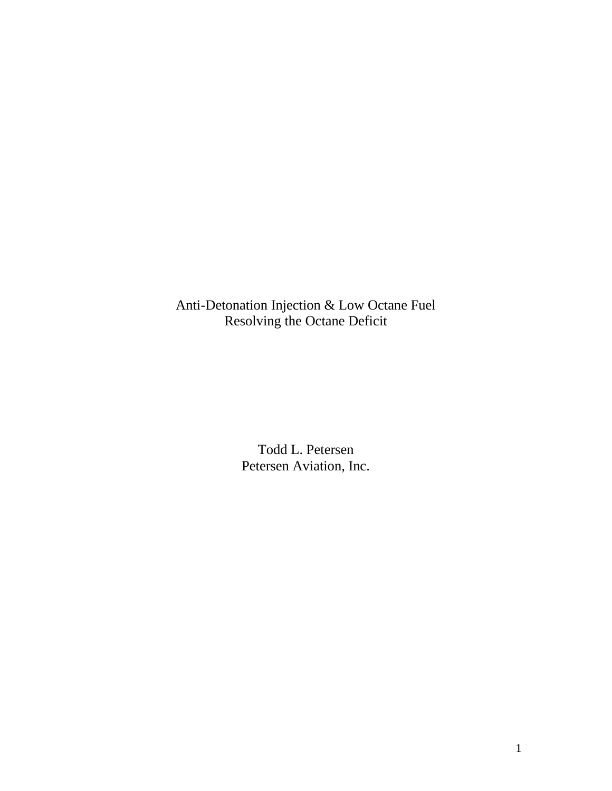Anti-Detonation Injection & Low Octane Fuel Resolving the Octane Deficit

> Todd L. Petersen Petersen Aviation, Inc.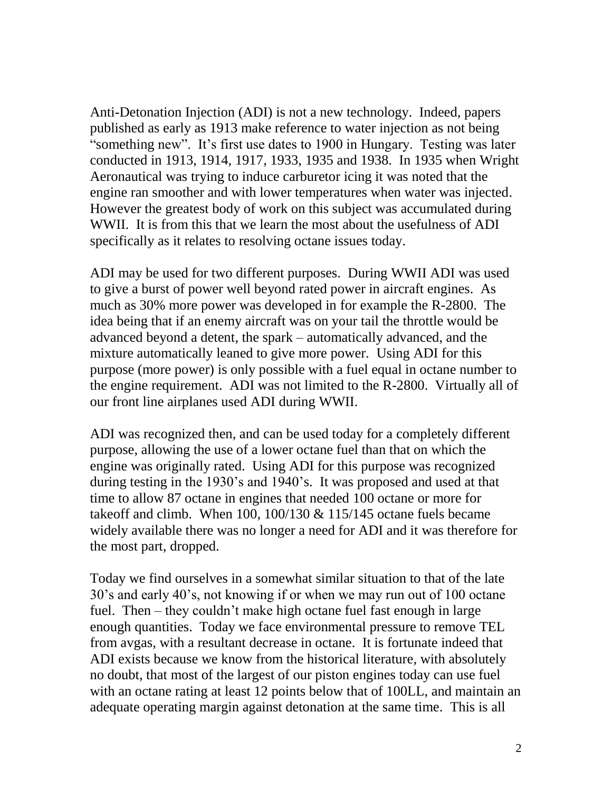Anti-Detonation Injection (ADI) is not a new technology. Indeed, papers published as early as 1913 make reference to water injection as not being "something new". It's first use dates to 1900 in Hungary. Testing was later conducted in 1913, 1914, 1917, 1933, 1935 and 1938. In 1935 when Wright Aeronautical was trying to induce carburetor icing it was noted that the engine ran smoother and with lower temperatures when water was injected. However the greatest body of work on this subject was accumulated during WWII. It is from this that we learn the most about the usefulness of ADI specifically as it relates to resolving octane issues today.

ADI may be used for two different purposes. During WWII ADI was used to give a burst of power well beyond rated power in aircraft engines. As much as 30% more power was developed in for example the R-2800. The idea being that if an enemy aircraft was on your tail the throttle would be advanced beyond a detent, the spark – automatically advanced, and the mixture automatically leaned to give more power. Using ADI for this purpose (more power) is only possible with a fuel equal in octane number to the engine requirement. ADI was not limited to the R-2800. Virtually all of our front line airplanes used ADI during WWII.

ADI was recognized then, and can be used today for a completely different purpose, allowing the use of a lower octane fuel than that on which the engine was originally rated. Using ADI for this purpose was recognized during testing in the 1930's and 1940's. It was proposed and used at that time to allow 87 octane in engines that needed 100 octane or more for takeoff and climb. When 100, 100/130 & 115/145 octane fuels became widely available there was no longer a need for ADI and it was therefore for the most part, dropped.

Today we find ourselves in a somewhat similar situation to that of the late 30's and early 40's, not knowing if or when we may run out of 100 octane fuel. Then – they couldn't make high octane fuel fast enough in large enough quantities. Today we face environmental pressure to remove TEL from avgas, with a resultant decrease in octane. It is fortunate indeed that ADI exists because we know from the historical literature, with absolutely no doubt, that most of the largest of our piston engines today can use fuel with an octane rating at least 12 points below that of 100LL, and maintain an adequate operating margin against detonation at the same time. This is all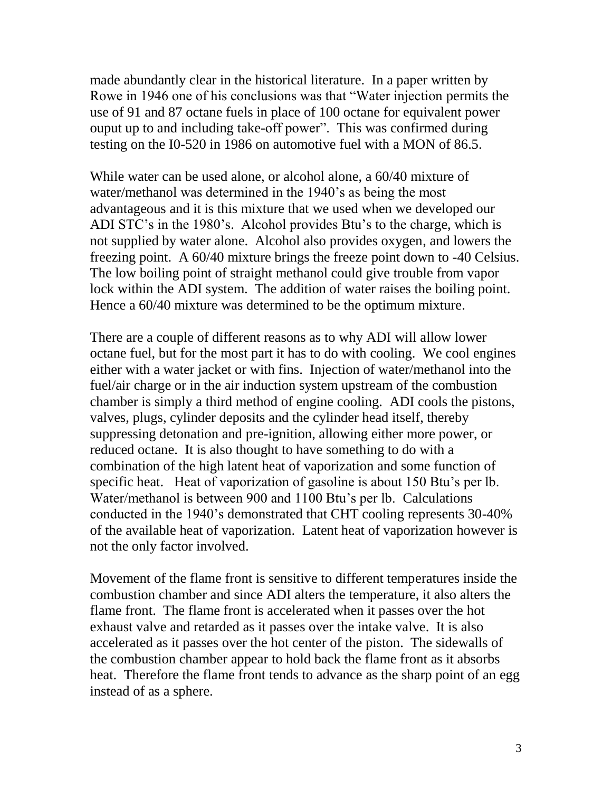made abundantly clear in the historical literature. In a paper written by Rowe in 1946 one of his conclusions was that "Water injection permits the use of 91 and 87 octane fuels in place of 100 octane for equivalent power ouput up to and including take-off power". This was confirmed during testing on the I0-520 in 1986 on automotive fuel with a MON of 86.5.

While water can be used alone, or alcohol alone, a 60/40 mixture of water/methanol was determined in the 1940's as being the most advantageous and it is this mixture that we used when we developed our ADI STC's in the 1980's. Alcohol provides Btu's to the charge, which is not supplied by water alone. Alcohol also provides oxygen, and lowers the freezing point. A 60/40 mixture brings the freeze point down to -40 Celsius. The low boiling point of straight methanol could give trouble from vapor lock within the ADI system. The addition of water raises the boiling point. Hence a 60/40 mixture was determined to be the optimum mixture.

There are a couple of different reasons as to why ADI will allow lower octane fuel, but for the most part it has to do with cooling. We cool engines either with a water jacket or with fins. Injection of water/methanol into the fuel/air charge or in the air induction system upstream of the combustion chamber is simply a third method of engine cooling. ADI cools the pistons, valves, plugs, cylinder deposits and the cylinder head itself, thereby suppressing detonation and pre-ignition, allowing either more power, or reduced octane. It is also thought to have something to do with a combination of the high latent heat of vaporization and some function of specific heat. Heat of vaporization of gasoline is about 150 Btu's per lb. Water/methanol is between 900 and 1100 Btu's per lb. Calculations conducted in the 1940's demonstrated that CHT cooling represents 30-40% of the available heat of vaporization. Latent heat of vaporization however is not the only factor involved.

Movement of the flame front is sensitive to different temperatures inside the combustion chamber and since ADI alters the temperature, it also alters the flame front. The flame front is accelerated when it passes over the hot exhaust valve and retarded as it passes over the intake valve. It is also accelerated as it passes over the hot center of the piston. The sidewalls of the combustion chamber appear to hold back the flame front as it absorbs heat. Therefore the flame front tends to advance as the sharp point of an egg instead of as a sphere.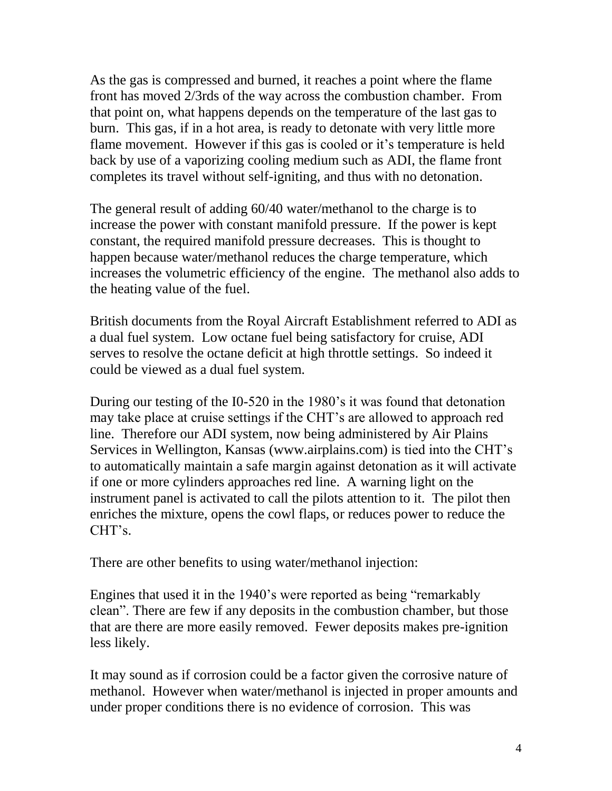As the gas is compressed and burned, it reaches a point where the flame front has moved 2/3rds of the way across the combustion chamber. From that point on, what happens depends on the temperature of the last gas to burn. This gas, if in a hot area, is ready to detonate with very little more flame movement. However if this gas is cooled or it's temperature is held back by use of a vaporizing cooling medium such as ADI, the flame front completes its travel without self-igniting, and thus with no detonation.

The general result of adding 60/40 water/methanol to the charge is to increase the power with constant manifold pressure. If the power is kept constant, the required manifold pressure decreases. This is thought to happen because water/methanol reduces the charge temperature, which increases the volumetric efficiency of the engine. The methanol also adds to the heating value of the fuel.

British documents from the Royal Aircraft Establishment referred to ADI as a dual fuel system. Low octane fuel being satisfactory for cruise, ADI serves to resolve the octane deficit at high throttle settings. So indeed it could be viewed as a dual fuel system.

During our testing of the I0-520 in the 1980's it was found that detonation may take place at cruise settings if the CHT's are allowed to approach red line. Therefore our ADI system, now being administered by Air Plains Services in Wellington, Kansas (www.airplains.com) is tied into the CHT's to automatically maintain a safe margin against detonation as it will activate if one or more cylinders approaches red line. A warning light on the instrument panel is activated to call the pilots attention to it. The pilot then enriches the mixture, opens the cowl flaps, or reduces power to reduce the CHT's.

There are other benefits to using water/methanol injection:

Engines that used it in the 1940's were reported as being "remarkably clean". There are few if any deposits in the combustion chamber, but those that are there are more easily removed. Fewer deposits makes pre-ignition less likely.

It may sound as if corrosion could be a factor given the corrosive nature of methanol. However when water/methanol is injected in proper amounts and under proper conditions there is no evidence of corrosion. This was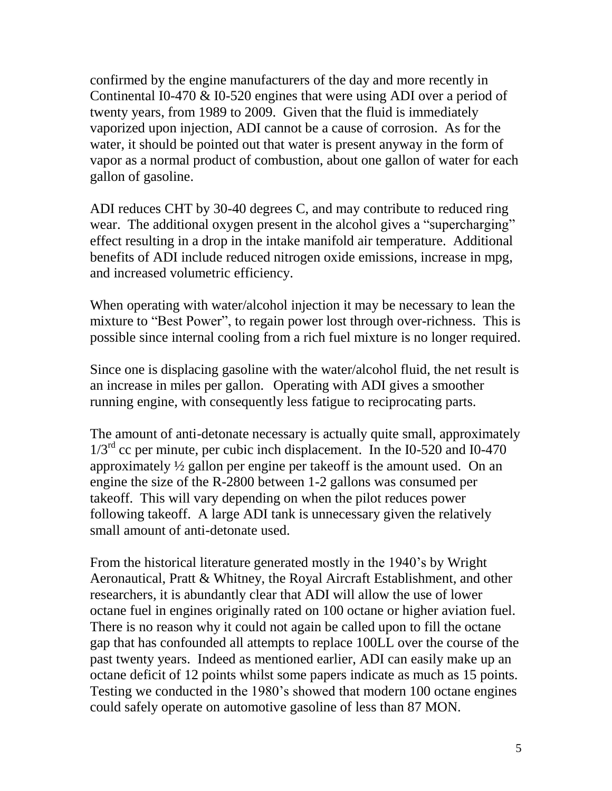confirmed by the engine manufacturers of the day and more recently in Continental I0-470 & I0-520 engines that were using ADI over a period of twenty years, from 1989 to 2009. Given that the fluid is immediately vaporized upon injection, ADI cannot be a cause of corrosion. As for the water, it should be pointed out that water is present anyway in the form of vapor as a normal product of combustion, about one gallon of water for each gallon of gasoline.

ADI reduces CHT by 30-40 degrees C, and may contribute to reduced ring wear. The additional oxygen present in the alcohol gives a "supercharging" effect resulting in a drop in the intake manifold air temperature. Additional benefits of ADI include reduced nitrogen oxide emissions, increase in mpg, and increased volumetric efficiency.

When operating with water/alcohol injection it may be necessary to lean the mixture to "Best Power", to regain power lost through over-richness. This is possible since internal cooling from a rich fuel mixture is no longer required.

Since one is displacing gasoline with the water/alcohol fluid, the net result is an increase in miles per gallon. Operating with ADI gives a smoother running engine, with consequently less fatigue to reciprocating parts.

The amount of anti-detonate necessary is actually quite small, approximately  $1/3<sup>rd</sup>$  cc per minute, per cubic inch displacement. In the I0-520 and I0-470 approximately ½ gallon per engine per takeoff is the amount used. On an engine the size of the R-2800 between 1-2 gallons was consumed per takeoff. This will vary depending on when the pilot reduces power following takeoff. A large ADI tank is unnecessary given the relatively small amount of anti-detonate used.

From the historical literature generated mostly in the 1940's by Wright Aeronautical, Pratt & Whitney, the Royal Aircraft Establishment, and other researchers, it is abundantly clear that ADI will allow the use of lower octane fuel in engines originally rated on 100 octane or higher aviation fuel. There is no reason why it could not again be called upon to fill the octane gap that has confounded all attempts to replace 100LL over the course of the past twenty years. Indeed as mentioned earlier, ADI can easily make up an octane deficit of 12 points whilst some papers indicate as much as 15 points. Testing we conducted in the 1980's showed that modern 100 octane engines could safely operate on automotive gasoline of less than 87 MON.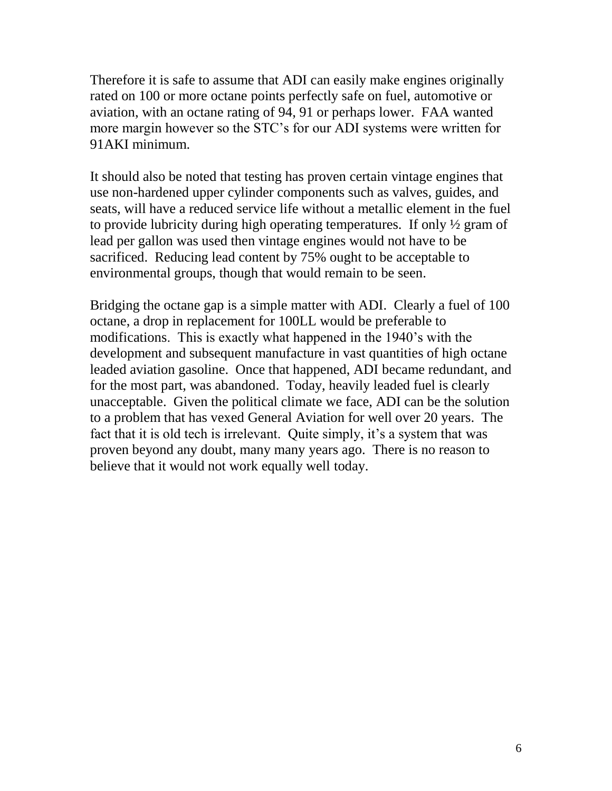Therefore it is safe to assume that ADI can easily make engines originally rated on 100 or more octane points perfectly safe on fuel, automotive or aviation, with an octane rating of 94, 91 or perhaps lower. FAA wanted more margin however so the STC's for our ADI systems were written for 91AKI minimum.

It should also be noted that testing has proven certain vintage engines that use non-hardened upper cylinder components such as valves, guides, and seats, will have a reduced service life without a metallic element in the fuel to provide lubricity during high operating temperatures. If only ½ gram of lead per gallon was used then vintage engines would not have to be sacrificed. Reducing lead content by 75% ought to be acceptable to environmental groups, though that would remain to be seen.

Bridging the octane gap is a simple matter with ADI. Clearly a fuel of 100 octane, a drop in replacement for 100LL would be preferable to modifications. This is exactly what happened in the 1940's with the development and subsequent manufacture in vast quantities of high octane leaded aviation gasoline. Once that happened, ADI became redundant, and for the most part, was abandoned. Today, heavily leaded fuel is clearly unacceptable. Given the political climate we face, ADI can be the solution to a problem that has vexed General Aviation for well over 20 years. The fact that it is old tech is irrelevant. Quite simply, it's a system that was proven beyond any doubt, many many years ago. There is no reason to believe that it would not work equally well today.